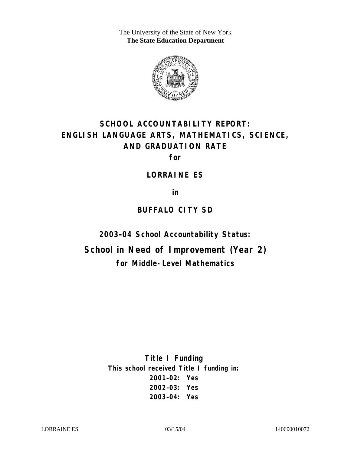The University of the State of New York **The State Education Department** 



# **SCHOOL ACCOUNTABILITY REPORT: ENGLISH LANGUAGE ARTS, MATHEMATICS, SCIENCE, AND GRADUATION RATE**

**for** 

### **LORRAINE ES**

**in** 

## **BUFFALO CITY SD**

**2003–04 School Accountability Status:** 

**School in Need of Improvement (Year 2) for Middle-Level Mathematics**

> **Title I Funding This school received Title I funding in: 2001–02: Yes 2002–03: Yes 2003–04: Yes**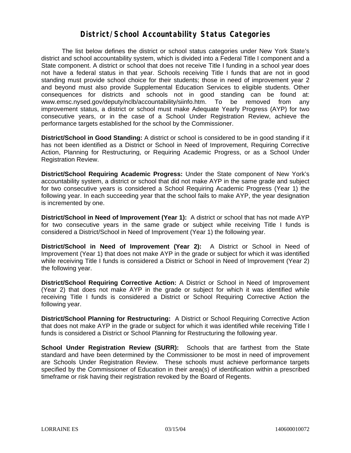### **District/School Accountability Status Categories**

The list below defines the district or school status categories under New York State's district and school accountability system, which is divided into a Federal Title I component and a State component. A district or school that does not receive Title I funding in a school year does not have a federal status in that year. Schools receiving Title I funds that are not in good standing must provide school choice for their students; those in need of improvement year 2 and beyond must also provide Supplemental Education Services to eligible students. Other consequences for districts and schools not in good standing can be found at: www.emsc.nysed.gov/deputy/nclb/accountability/siinfo.htm. To be removed from any improvement status, a district or school must make Adequate Yearly Progress (AYP) for two consecutive years, or in the case of a School Under Registration Review, achieve the performance targets established for the school by the Commissioner.

**District/School in Good Standing:** A district or school is considered to be in good standing if it has not been identified as a District or School in Need of Improvement, Requiring Corrective Action, Planning for Restructuring, or Requiring Academic Progress, or as a School Under Registration Review.

**District/School Requiring Academic Progress:** Under the State component of New York's accountability system, a district or school that did not make AYP in the same grade and subject for two consecutive years is considered a School Requiring Academic Progress (Year 1) the following year. In each succeeding year that the school fails to make AYP, the year designation is incremented by one.

**District/School in Need of Improvement (Year 1):** A district or school that has not made AYP for two consecutive years in the same grade or subject while receiving Title I funds is considered a District/School in Need of Improvement (Year 1) the following year.

**District/School in Need of Improvement (Year 2):** A District or School in Need of Improvement (Year 1) that does not make AYP in the grade or subject for which it was identified while receiving Title I funds is considered a District or School in Need of Improvement (Year 2) the following year.

**District/School Requiring Corrective Action:** A District or School in Need of Improvement (Year 2) that does not make AYP in the grade or subject for which it was identified while receiving Title I funds is considered a District or School Requiring Corrective Action the following year.

**District/School Planning for Restructuring:** A District or School Requiring Corrective Action that does not make AYP in the grade or subject for which it was identified while receiving Title I funds is considered a District or School Planning for Restructuring the following year.

**School Under Registration Review (SURR):** Schools that are farthest from the State standard and have been determined by the Commissioner to be most in need of improvement are Schools Under Registration Review. These schools must achieve performance targets specified by the Commissioner of Education in their area(s) of identification within a prescribed timeframe or risk having their registration revoked by the Board of Regents.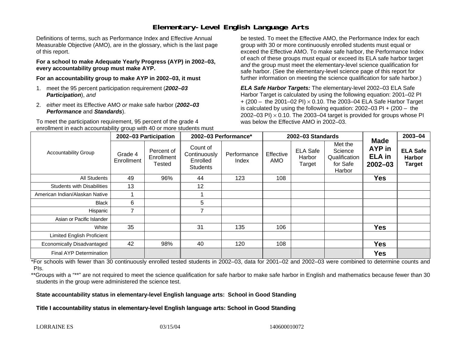### **Elementary-Level English Language Arts**

Definitions of terms, such as Performance Index and Effective Annual Measurable Objective (AMO), are in the glossary, which is the last page of this report.

**For a school to make Adequate Yearly Progress (AYP) in 2002–03, every accountability group must make AYP.** 

**For an accountability group to make AYP in 2002–03, it must** 

- 1. meet the 95 percent participation requirement (*2002–03 Participation*), *and*
- 2. *either* meet its Effective AMO *or* make safe harbor (*2002–03 Performance* and *Standards*).

To meet the participation requirement, 95 percent of the grade 4 enrollment in each accountability group with 40 or more students must

be tested. To meet the Effective AMO, the Performance Index for each group with 30 or more continuously enrolled students must equal or exceed the Effective AMO. To make safe harbor, the Performance Index of each of these groups must equal or exceed its ELA safe harbor target *and* the group must meet the elementary-level science qualification for safe harbor. (See the elementary-level science page of this report for further information on meeting the science qualification for safe harbor.)

*ELA Safe Harbor Targets:* The elementary-level 2002–03 ELA Safe Harbor Target is calculated by using the following equation: 2001–02 PI + (200 – the 2001–02 PI) <sup>×</sup> 0.10. The 2003–04 ELA Safe Harbor Target is calculated by using the following equation: 2002–03 PI + (200 – the 2002–03 PI)  $\times$  0.10. The 2003–04 target is provided for groups whose PI was below the Effective AMO in 2002–03.

|                                   |                       | 2002-03 Participation              | 2002-03 Performance*                                    |                      | 2002-03 Standards |                                     |                                                           |                                                              | 2003-04                                           |
|-----------------------------------|-----------------------|------------------------------------|---------------------------------------------------------|----------------------|-------------------|-------------------------------------|-----------------------------------------------------------|--------------------------------------------------------------|---------------------------------------------------|
| <b>Accountability Group</b>       | Grade 4<br>Enrollment | Percent of<br>Enrollment<br>Tested | Count of<br>Continuously<br>Enrolled<br><b>Students</b> | Performance<br>Index | Effective<br>AMO  | <b>ELA Safe</b><br>Harbor<br>Target | Met the<br>Science<br>Qualification<br>for Safe<br>Harbor | <b>Made</b><br><b>AYP</b> in<br><b>ELA</b> in<br>$2002 - 03$ | <b>ELA Safe</b><br><b>Harbor</b><br><b>Target</b> |
| All Students                      | 49                    | 96%                                | 44                                                      | 123                  | 108               |                                     |                                                           | <b>Yes</b>                                                   |                                                   |
| <b>Students with Disabilities</b> | 13                    |                                    | 12                                                      |                      |                   |                                     |                                                           |                                                              |                                                   |
| American Indian/Alaskan Native    |                       |                                    |                                                         |                      |                   |                                     |                                                           |                                                              |                                                   |
| <b>Black</b>                      | 6                     |                                    | 5                                                       |                      |                   |                                     |                                                           |                                                              |                                                   |
| Hispanic                          |                       |                                    | $\overline{7}$                                          |                      |                   |                                     |                                                           |                                                              |                                                   |
| Asian or Pacific Islander         |                       |                                    |                                                         |                      |                   |                                     |                                                           |                                                              |                                                   |
| White                             | 35                    |                                    | 31                                                      | 135                  | 106               |                                     |                                                           | <b>Yes</b>                                                   |                                                   |
| <b>Limited English Proficient</b> |                       |                                    |                                                         |                      |                   |                                     |                                                           |                                                              |                                                   |
| Economically Disadvantaged        | 42                    | 98%                                | 40                                                      | 120                  | 108               |                                     |                                                           | <b>Yes</b>                                                   |                                                   |
| Final AYP Determination           |                       |                                    |                                                         |                      |                   |                                     |                                                           | <b>Yes</b>                                                   |                                                   |

\*For schools with fewer than 30 continuously enrolled tested students in 2002–03, data for 2001–02 and 2002–03 were combined to determine counts and PIs.

\*\*Groups with a "\*\*" are not required to meet the science qualification for safe harbor to make safe harbor in English and mathematics because fewer than 30 students in the group were administered the science test.

**State accountability status in elementary-level English language arts: School in Good Standing** 

Title I accountability status in elementary-level English language arts: School in Good Standing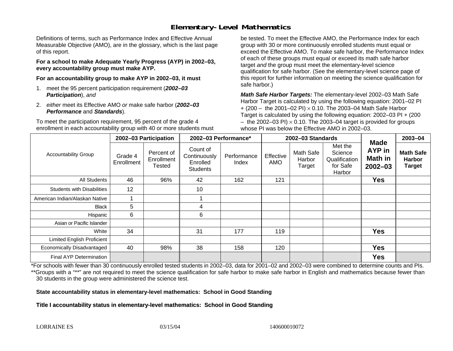### **Elementary-Level Mathematics**

Definitions of terms, such as Performance Index and Effective Annual Measurable Objective (AMO), are in the glossary, which is the last page of this report.

**For a school to make Adequate Yearly Progress (AYP) in 2002–03, every accountability group must make AYP.** 

**For an accountability group to make AYP in 2002–03, it must** 

- 1. meet the 95 percent participation requirement (*2002–03 Participation*), *and*
- 2. *either* meet its Effective AMO *or* make safe harbor (*2002–03 Performance* and *Standards*).

To meet the participation requirement, 95 percent of the grade 4 enrollment in each accountability group with 40 or more students must

be tested. To meet the Effective AMO, the Performance Index for each group with 30 or more continuously enrolled students must equal or exceed the Effective AMO. To make safe harbor, the Performance Index of each of these groups must equal or exceed its math safe harbor target *and* the group must meet the elementary-level science qualification for safe harbor. (See the elementary-level science page of this report for further information on meeting the science qualification for safe harbor.)

*Math Safe Harbor Targets:* The elementary-level 2002–03 Math Safe Harbor Target is calculated by using the following equation: 2001–02 PI + (200 – the 2001–02 PI) × 0.10. The 2003–04 Math Safe Harbor Target is calculated by using the following equation: 2002–03 PI + (200  $-$  the 2002–03 PI)  $\times$  0.10. The 2003–04 target is provided for groups whose PI was below the Effective AMO in 2002–03.

|                                   | 2002-03 Participation |                                    | 2002-03 Performance*                                    |                      |                         | 2002-03 Standards             |                                                           | 2003-04                                                |                                                    |
|-----------------------------------|-----------------------|------------------------------------|---------------------------------------------------------|----------------------|-------------------------|-------------------------------|-----------------------------------------------------------|--------------------------------------------------------|----------------------------------------------------|
| <b>Accountability Group</b>       | Grade 4<br>Enrollment | Percent of<br>Enrollment<br>Tested | Count of<br>Continuously<br>Enrolled<br><b>Students</b> | Performance<br>Index | Effective<br><b>AMO</b> | Math Safe<br>Harbor<br>Target | Met the<br>Science<br>Qualification<br>for Safe<br>Harbor | <b>Made</b><br>AYP in<br><b>Math in</b><br>$2002 - 03$ | <b>Math Safe</b><br><b>Harbor</b><br><b>Target</b> |
| All Students                      | 46                    | 96%                                | 42                                                      | 162                  | 121                     |                               |                                                           | <b>Yes</b>                                             |                                                    |
| <b>Students with Disabilities</b> | 12                    |                                    | 10                                                      |                      |                         |                               |                                                           |                                                        |                                                    |
| American Indian/Alaskan Native    |                       |                                    |                                                         |                      |                         |                               |                                                           |                                                        |                                                    |
| <b>Black</b>                      | 5                     |                                    | 4                                                       |                      |                         |                               |                                                           |                                                        |                                                    |
| Hispanic                          | 6                     |                                    | 6                                                       |                      |                         |                               |                                                           |                                                        |                                                    |
| Asian or Pacific Islander         |                       |                                    |                                                         |                      |                         |                               |                                                           |                                                        |                                                    |
| White                             | 34                    |                                    | 31                                                      | 177                  | 119                     |                               |                                                           | <b>Yes</b>                                             |                                                    |
| <b>Limited English Proficient</b> |                       |                                    |                                                         |                      |                         |                               |                                                           |                                                        |                                                    |
| Economically Disadvantaged        | 40                    | 98%                                | 38                                                      | 158                  | 120                     |                               |                                                           | <b>Yes</b>                                             |                                                    |
| <b>Final AYP Determination</b>    |                       |                                    |                                                         |                      |                         |                               |                                                           | <b>Yes</b>                                             |                                                    |

\*For schools with fewer than 30 continuously enrolled tested students in 2002–03, data for 2001–02 and 2002–03 were combined to determine counts and PIs. \*\*Groups with a "\*\*" are not required to meet the science qualification for safe harbor to make safe harbor in English and mathematics because fewer than 30 students in the group were administered the science test.

**State accountability status in elementary-level mathematics: School in Good Standing** 

Title I accountability status in elementary-level mathematics: School in Good Standing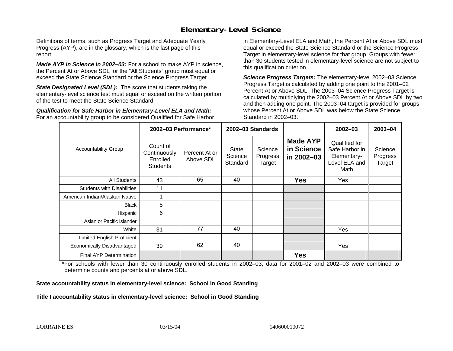### **Elementary-Level Science**

Definitions of terms, such as Progress Target and Adequate Yearly Progress (AYP), are in the glossary, which is the last page of this report.

*Made AYP in Science in 2002–03:* For a school to make AYP in science, the Percent At or Above SDL for the "All Students" group must equal or exceed the State Science Standard or the Science Progress Target.

**State Designated Level (SDL):** The score that students taking the elementary-level science test must equal or exceed on the written portion of the test to meet the State Science Standard.

*Qualification for Safe Harbor in Elementary-Level ELA and Math:* For an accountability group to be considered Qualified for Safe Harbor in Elementary-Level ELA and Math, the Percent At or Above SDL must equal or exceed the State Science Standard or the Science Progress Target in elementary-level science for that group. Groups with fewer than 30 students tested in elementary-level science are not subject to this qualification criterion.

*Science Progress Targets:* The elementary-level 2002–03 Science Progress Target is calculated by adding one point to the 2001–02 Percent At or Above SDL. The 2003–04 Science Progress Target is calculated by multiplying the 2002–03 Percent At or Above SDL by two and then adding one point. The 2003–04 target is provided for groups whose Percent At or Above SDL was below the State Science Standard in 2002–03.

|                                   |                                                         | 2002-03 Performance*                                                                                                                       | 2002-03 Standards |                                                                         | $2002 - 03$                   | 2003-04 |
|-----------------------------------|---------------------------------------------------------|--------------------------------------------------------------------------------------------------------------------------------------------|-------------------|-------------------------------------------------------------------------|-------------------------------|---------|
| <b>Accountability Group</b>       | Count of<br>Continuously<br>Enrolled<br><b>Students</b> | <b>Made AYP</b><br>in Science<br>Science<br>State<br>Percent At or<br>Science<br>Progress<br>in 2002-03<br>Above SDL<br>Standard<br>Target |                   | Qualified for<br>Safe Harbor in<br>Elementary-<br>Level ELA and<br>Math | Science<br>Progress<br>Target |         |
| All Students                      | 43                                                      | 65                                                                                                                                         | 40                | <b>Yes</b>                                                              | Yes                           |         |
| <b>Students with Disabilities</b> | 11                                                      |                                                                                                                                            |                   |                                                                         |                               |         |
| American Indian/Alaskan Native    |                                                         |                                                                                                                                            |                   |                                                                         |                               |         |
| <b>Black</b>                      | 5                                                       |                                                                                                                                            |                   |                                                                         |                               |         |
| Hispanic                          | 6                                                       |                                                                                                                                            |                   |                                                                         |                               |         |
| Asian or Pacific Islander         |                                                         |                                                                                                                                            |                   |                                                                         |                               |         |
| White                             | 31                                                      | 77                                                                                                                                         | 40                |                                                                         | <b>Yes</b>                    |         |
| Limited English Proficient        |                                                         |                                                                                                                                            |                   |                                                                         |                               |         |
| Economically Disadvantaged        | 39                                                      | 62                                                                                                                                         | 40                |                                                                         | Yes                           |         |
| <b>Final AYP Determination</b>    |                                                         |                                                                                                                                            |                   | <b>Yes</b>                                                              |                               |         |

\*For schools with fewer than 30 continuously enrolled students in 2002–03, data for 2001–02 and 2002–03 were combined to determine counts and percents at or above SDL.

#### **State accountability status in elementary-level science: School in Good Standing**

#### Title I accountability status in elementary-level science: School in Good Standing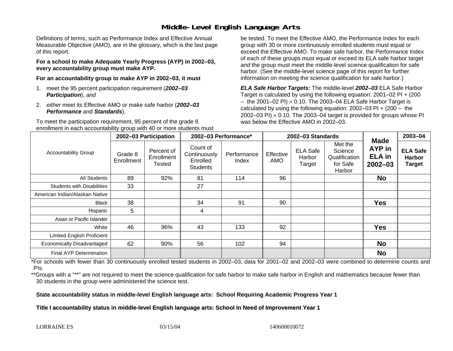### **Middle-Level English Language Arts**

Definitions of terms, such as Performance Index and Effective Annual Measurable Objective (AMO), are in the glossary, which is the last page of this report.

**For a school to make Adequate Yearly Progress (AYP) in 2002–03, every accountability group must make AYP.** 

**For an accountability group to make AYP in 2002–03, it must** 

- 1. meet the 95 percent participation requirement (*2002–03 Participation*), *and*
- 2. *either* meet its Effective AMO *or* make safe harbor (*2002–03 Performance* and *Standards*).

To meet the participation requirement, 95 percent of the grade 8 enrollment in each accountability group with 40 or more students must

be tested. To meet the Effective AMO, the Performance Index for each group with 30 or more continuously enrolled students must equal or exceed the Effective AMO. To make safe harbor, the Performance Index of each of these groups must equal or exceed its ELA safe harbor target *and* the group must meet the middle-level science qualification for safe harbor. (See the middle-level science page of this report for further information on meeting the science qualification for safe harbor.)

*ELA Safe Harbor Targets:* The middle-level *2002–03* ELA Safe Harbor Target is calculated by using the following equation: 2001–02 PI + (200  $-$  the 2001–02 PI)  $\times$  0.10. The 2003–04 ELA Safe Harbor Target is  $\,$ calculated by using the following equation:  $2002-03$  PI +  $(200 -$  the 2002–03 PI)  $\times$  0.10. The 2003–04 target is provided for groups whose PI was below the Effective AMO in 2002–03.

|                                   |                       | 2002-03 Participation              | 2002-03 Performance*                                    |                      |                  | 2002-03 Standards                   |                                                           | 2003-04                                               |                                                   |
|-----------------------------------|-----------------------|------------------------------------|---------------------------------------------------------|----------------------|------------------|-------------------------------------|-----------------------------------------------------------|-------------------------------------------------------|---------------------------------------------------|
| <b>Accountability Group</b>       | Grade 8<br>Enrollment | Percent of<br>Enrollment<br>Tested | Count of<br>Continuously<br>Enrolled<br><b>Students</b> | Performance<br>Index | Effective<br>AMO | <b>ELA Safe</b><br>Harbor<br>Target | Met the<br>Science<br>Qualification<br>for Safe<br>Harbor | <b>Made</b><br>AYP in<br><b>ELA</b> in<br>$2002 - 03$ | <b>ELA Safe</b><br><b>Harbor</b><br><b>Target</b> |
| <b>All Students</b>               | 89                    | 92%                                | 81                                                      | 114                  | 96               |                                     |                                                           | <b>No</b>                                             |                                                   |
| <b>Students with Disabilities</b> | 33                    |                                    | 27                                                      |                      |                  |                                     |                                                           |                                                       |                                                   |
| American Indian/Alaskan Native    |                       |                                    |                                                         |                      |                  |                                     |                                                           |                                                       |                                                   |
| <b>Black</b>                      | 38                    |                                    | 34                                                      | 91                   | 90               |                                     |                                                           | <b>Yes</b>                                            |                                                   |
| Hispanic                          | 5                     |                                    | 4                                                       |                      |                  |                                     |                                                           |                                                       |                                                   |
| Asian or Pacific Islander         |                       |                                    |                                                         |                      |                  |                                     |                                                           |                                                       |                                                   |
| White                             | 46                    | 96%                                | 43                                                      | 133                  | 92               |                                     |                                                           | <b>Yes</b>                                            |                                                   |
| <b>Limited English Proficient</b> |                       |                                    |                                                         |                      |                  |                                     |                                                           |                                                       |                                                   |
| Economically Disadvantaged        | 62                    | 90%                                | 56                                                      | 102                  | 94               |                                     |                                                           | <b>No</b>                                             |                                                   |
| <b>Final AYP Determination</b>    |                       |                                    |                                                         |                      |                  |                                     |                                                           | <b>No</b>                                             |                                                   |

\*For schools with fewer than 30 continuously enrolled tested students in 2002–03, data for 2001–02 and 2002–03 were combined to determine counts and PIs.

\*\*Groups with a "\*\*" are not required to meet the science qualification for safe harbor to make safe harbor in English and mathematics because fewer than 30 students in the group were administered the science test.

**State accountability status in middle-level English language arts: School Requiring Academic Progress Year 1** 

Title I accountability status in middle-level English language arts: School In Need of Improvement Year 1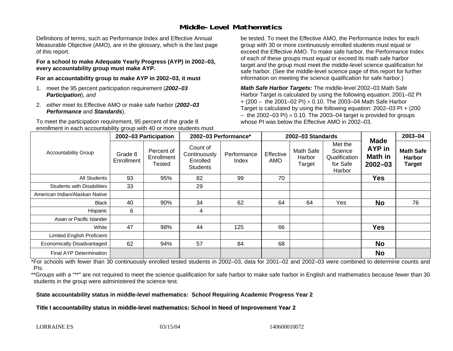### **Middle-Level Mathematics**

Definitions of terms, such as Performance Index and Effective Annual Measurable Objective (AMO), are in the glossary, which is the last page of this report.

**For a school to make Adequate Yearly Progress (AYP) in 2002–03, every accountability group must make AYP.** 

**For an accountability group to make AYP in 2002–03, it must** 

- 1. meet the 95 percent participation requirement (*2002–03 Participation*), *and*
- 2. *either* meet its Effective AMO *or* make safe harbor (*2002–03 Performance* and *Standards*).

To meet the participation requirement, 95 percent of the grade 8 enrollment in each accountability group with 40 or more students must be tested. To meet the Effective AMO, the Performance Index for each group with 30 or more continuously enrolled students must equal or exceed the Effective AMO. To make safe harbor, the Performance Index of each of these groups must equal or exceed its math safe harbor target *and* the group must meet the middle-level science qualification for safe harbor. (See the middle-level science page of this report for further information on meeting the science qualification for safe harbor.)

*Math Safe Harbor Targets:* The middle-level 2002–03 Math Safe Harbor Target is calculated by using the following equation: 2001–02 PI + (200 – the 2001–02 PI) × 0.10. The 2003–04 Math Safe Harbor Target is calculated by using the following equation: 2002–03 PI + (200  $-$  the 2002–03 PI)  $\times$  0.10. The 2003–04 target is provided for groups whose PI was below the Effective AMO in 2002–03

|                                   |                       | 2002-03 Participation                     | 2002-03 Performance*                                    |                      |                  | 2002-03 Standards             |                                                           | 2003-04                                                       |                                                    |
|-----------------------------------|-----------------------|-------------------------------------------|---------------------------------------------------------|----------------------|------------------|-------------------------------|-----------------------------------------------------------|---------------------------------------------------------------|----------------------------------------------------|
| <b>Accountability Group</b>       | Grade 8<br>Enrollment | Percent of<br>Enrollment<br><b>Tested</b> | Count of<br>Continuously<br>Enrolled<br><b>Students</b> | Performance<br>Index | Effective<br>AMO | Math Safe<br>Harbor<br>Target | Met the<br>Science<br>Qualification<br>for Safe<br>Harbor | <b>Made</b><br><b>AYP</b> in<br><b>Math in</b><br>$2002 - 03$ | <b>Math Safe</b><br><b>Harbor</b><br><b>Target</b> |
| <b>All Students</b>               | 93                    | 95%                                       | 82                                                      | 99                   | 70               |                               |                                                           | <b>Yes</b>                                                    |                                                    |
| <b>Students with Disabilities</b> | 33                    |                                           | 29                                                      |                      |                  |                               |                                                           |                                                               |                                                    |
| American Indian/Alaskan Native    |                       |                                           |                                                         |                      |                  |                               |                                                           |                                                               |                                                    |
| <b>Black</b>                      | 40                    | 90%                                       | 34                                                      | 62                   | 64               | 64                            | Yes                                                       | <b>No</b>                                                     | 76                                                 |
| Hispanic                          | 6                     |                                           | 4                                                       |                      |                  |                               |                                                           |                                                               |                                                    |
| Asian or Pacific Islander         |                       |                                           |                                                         |                      |                  |                               |                                                           |                                                               |                                                    |
| White                             | 47                    | 98%                                       | 44                                                      | 125                  | 66               |                               |                                                           | <b>Yes</b>                                                    |                                                    |
| <b>Limited English Proficient</b> |                       |                                           |                                                         |                      |                  |                               |                                                           |                                                               |                                                    |
| Economically Disadvantaged        | 62                    | 94%                                       | 57                                                      | 84                   | 68               |                               |                                                           | <b>No</b>                                                     |                                                    |
| <b>Final AYP Determination</b>    |                       |                                           |                                                         |                      |                  |                               |                                                           | <b>No</b>                                                     |                                                    |

\*For schools with fewer than 30 continuously enrolled tested students in 2002–03, data for 2001–02 and 2002–03 were combined to determine counts and PIs.

\*\*Groups with a "\*\*" are not required to meet the science qualification for safe harbor to make safe harbor in English and mathematics because fewer than 30 students in the group were administered the science test.

**State accountability status in middle-level mathematics: School Requiring Academic Progress Year 2** 

Title I accountability status in middle-level mathematics: School In Need of Improvement Year 2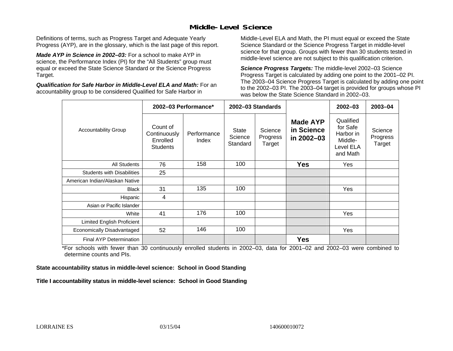### **Middle-Level Science**

Definitions of terms, such as Progress Target and Adequate Yearly Progress (AYP), are in the glossary, which is the last page of this report.

*Made AYP in Science in 2002–03:* For a school to make AYP in science, the Performance Index (PI) for the "All Students" group must equal or exceed the State Science Standard or the Science Progress Target.

*Qualification for Safe Harbor in Middle-Level ELA and Math:* For an accountability group to be considered Qualified for Safe Harbor in

Middle-Level ELA and Math, the PI must equal or exceed the State Science Standard or the Science Progress Target in middle-level science for that group. Groups with fewer than 30 students tested in middle-level science are not subject to this qualification criterion.

*Science Progress Targets:* The middle-level 2002–03 Science Progress Target is calculated by adding one point to the 2001–02 PI. The 2003–04 Science Progress Target is calculated by adding one point to the 2002–03 PI. The 2003–04 target is provided for groups whose PI was below the State Science Standard in 2002–03.

|                                   |                                                         | 2002-03 Performance* |                              | 2002-03 Standards             |                                             | $2002 - 03$                                                            | 2003-04                       |
|-----------------------------------|---------------------------------------------------------|----------------------|------------------------------|-------------------------------|---------------------------------------------|------------------------------------------------------------------------|-------------------------------|
| <b>Accountability Group</b>       | Count of<br>Continuously<br>Enrolled<br><b>Students</b> | Performance<br>Index | State<br>Science<br>Standard | Science<br>Progress<br>Target | <b>Made AYP</b><br>in Science<br>in 2002-03 | Qualified<br>for Safe<br>Harbor in<br>Middle-<br>Level ELA<br>and Math | Science<br>Progress<br>Target |
| <b>All Students</b>               | 76                                                      | 158                  | 100                          |                               | <b>Yes</b>                                  | Yes                                                                    |                               |
| <b>Students with Disabilities</b> | 25                                                      |                      |                              |                               |                                             |                                                                        |                               |
| American Indian/Alaskan Native    |                                                         |                      |                              |                               |                                             |                                                                        |                               |
| <b>Black</b>                      | 31                                                      | 135                  | 100                          |                               |                                             | Yes                                                                    |                               |
| Hispanic                          | 4                                                       |                      |                              |                               |                                             |                                                                        |                               |
| Asian or Pacific Islander         |                                                         |                      |                              |                               |                                             |                                                                        |                               |
| White                             | 41                                                      | 176                  | 100                          |                               |                                             | Yes                                                                    |                               |
| Limited English Proficient        |                                                         |                      |                              |                               |                                             |                                                                        |                               |
| Economically Disadvantaged        | 52                                                      | 146                  | 100                          |                               |                                             | Yes                                                                    |                               |
| <b>Final AYP Determination</b>    |                                                         |                      |                              |                               | <b>Yes</b>                                  |                                                                        |                               |

\*For schools with fewer than 30 continuously enrolled students in 2002–03, data for 2001–02 and 2002–03 were combined to determine counts and PIs.

**State accountability status in middle-level science: School in Good Standing** 

Title I accountability status in middle-level science: School in Good Standing